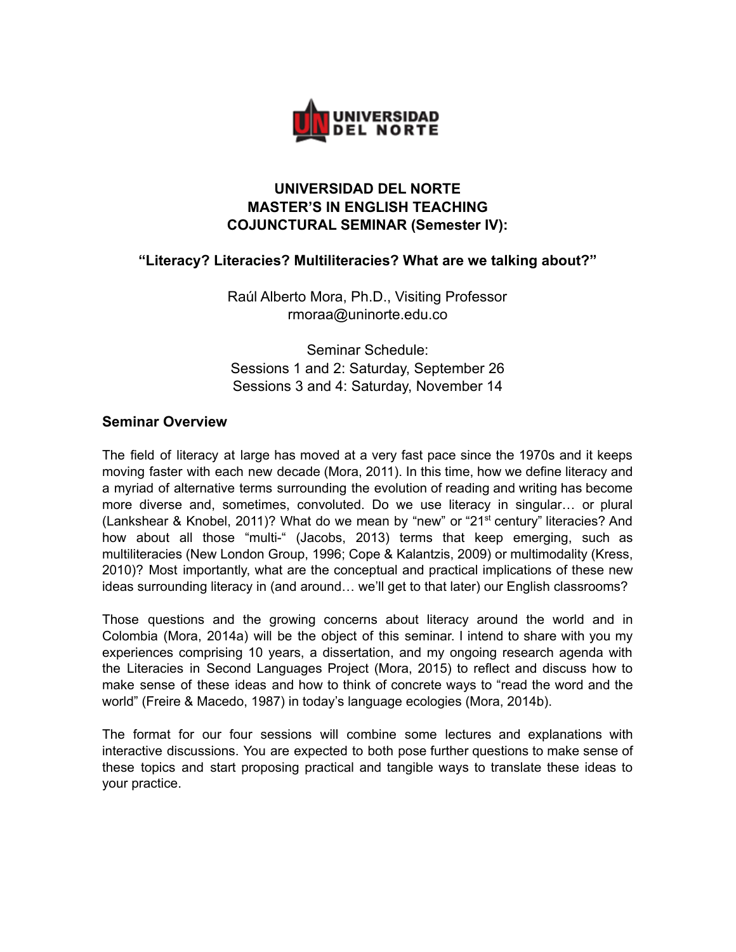

# **UNIVERSIDAD DEL NORTE MASTER'S IN ENGLISH TEACHING COJUNCTURAL SEMINAR (Semester IV):**

## **"Literacy? Literacies? Multiliteracies? What are we talking about?"**

Raúl Alberto Mora, Ph.D., Visiting Professor rmoraa@uninorte.edu.co

Seminar Schedule: Sessions 1 and 2: Saturday, September 26 Sessions 3 and 4: Saturday, November 14

## **Seminar Overview**

The field of literacy at large has moved at a very fast pace since the 1970s and it keeps moving faster with each new decade (Mora, 2011). In this time, how we define literacy and a myriad of alternative terms surrounding the evolution of reading and writing has become more diverse and, sometimes, convoluted. Do we use literacy in singular… or plural (Lankshear & Knobel, 2011)? What do we mean by "new" or "21<sup>st</sup> century" literacies? And how about all those "multi-" (Jacobs, 2013) terms that keep emerging, such as multiliteracies (New London Group, 1996; Cope & Kalantzis, 2009) or multimodality (Kress, 2010)? Most importantly, what are the conceptual and practical implications of these new ideas surrounding literacy in (and around... we'll get to that later) our English classrooms?

Those questions and the growing concerns about literacy around the world and in Colombia (Mora, 2014a) will be the object of this seminar. I intend to share with you my experiences comprising 10 years, a dissertation, and my ongoing research agenda with the Literacies in Second Languages Project (Mora, 2015) to reflect and discuss how to make sense of these ideas and how to think of concrete ways to "read the word and the world" (Freire & Macedo, 1987) in today's language ecologies (Mora, 2014b).

The format for our four sessions will combine some lectures and explanations with interactive discussions. You are expected to both pose further questions to make sense of these topics and start proposing practical and tangible ways to translate these ideas to your practice.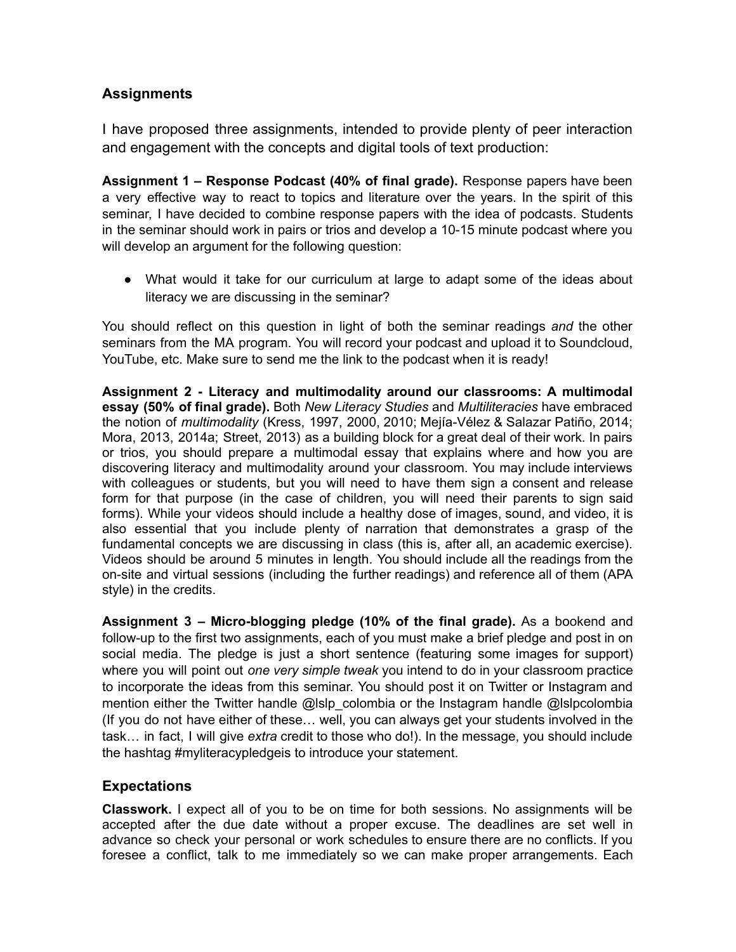# **Assignments**

I have proposed three assignments, intended to provide plenty of peer interaction and engagement with the concepts and digital tools of text production:

**Assignment 1 – Response Podcast (40% of final grade).** Response papers have been a very effective way to react to topics and literature over the years. In the spirit of this seminar, I have decided to combine response papers with the idea of podcasts. Students in the seminar should work in pairs or trios and develop a 10-15 minute podcast where you will develop an argument for the following question:

● What would it take for our curriculum at large to adapt some of the ideas about literacy we are discussing in the seminar?

You should reflect on this question in light of both the seminar readings *and* the other seminars from the MA program. You will record your podcast and upload it to Soundcloud, YouTube, etc. Make sure to send me the link to the podcast when it is ready!

**Assignment 2 - Literacy and multimodality around our classrooms: A multimodal essay (50% of final grade).** Both *New Literacy Studies* and *Multiliteracies* have embraced the notion of *multimodality* (Kress, 1997, 2000, 2010; Mejía-Vélez & Salazar Patiño, 2014; Mora, 2013, 2014a; Street, 2013) as a building block for a great deal of their work. In pairs or trios, you should prepare a multimodal essay that explains where and how you are discovering literacy and multimodality around your classroom. You may include interviews with colleagues or students, but you will need to have them sign a consent and release form for that purpose (in the case of children, you will need their parents to sign said forms). While your videos should include a healthy dose of images, sound, and video, it is also essential that you include plenty of narration that demonstrates a grasp of the fundamental concepts we are discussing in class (this is, after all, an academic exercise). Videos should be around 5 minutes in length. You should include all the readings from the on-site and virtual sessions (including the further readings) and reference all of them (APA style) in the credits.

**Assignment 3 – Micro-blogging pledge (10% of the final grade).** As a bookend and follow-up to the first two assignments, each of you must make a brief pledge and post in on social media. The pledge is just a short sentence (featuring some images for support) where you will point out *one very simple tweak* you intend to do in your classroom practice to incorporate the ideas from this seminar. You should post it on Twitter or Instagram and mention either the Twitter handle @lslp\_colombia or the Instagram handle @lslpcolombia (If you do not have either of these… well, you can always get your students involved in the task… in fact, I will give *extra* credit to those who do!). In the message, you should include the hashtag #myliteracypledgeis to introduce your statement.

## **Expectations**

**Classwork.** I expect all of you to be on time for both sessions. No assignments will be accepted after the due date without a proper excuse. The deadlines are set well in advance so check your personal or work schedules to ensure there are no conflicts. If you foresee a conflict, talk to me immediately so we can make proper arrangements. Each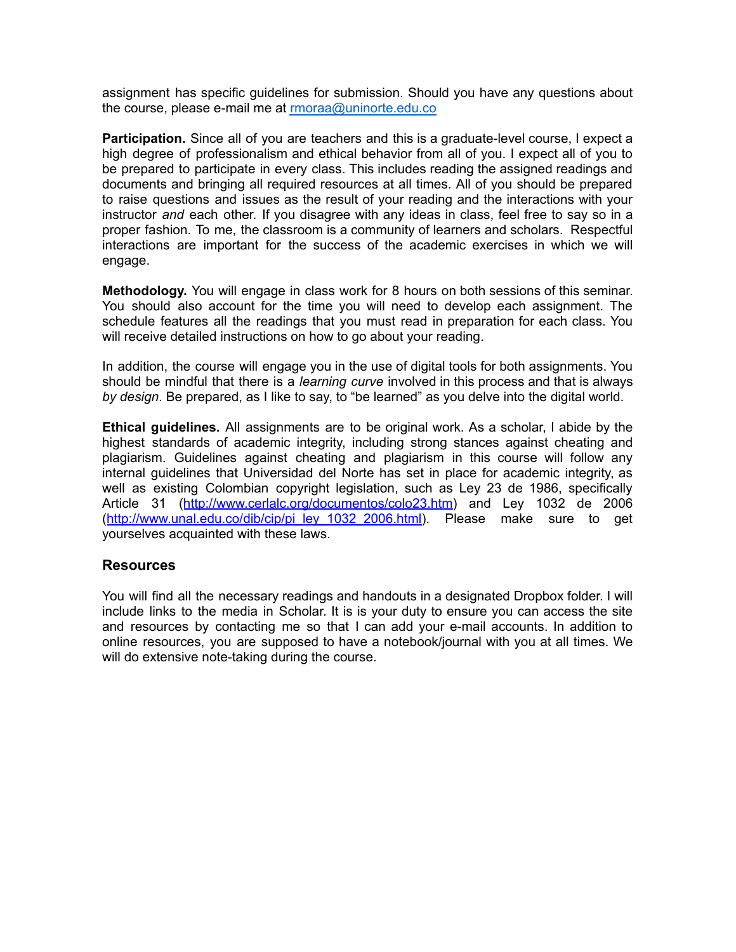assignment has specific guidelines for submission. Should you have any questions about the course, please e-mail me at [rmoraa@uninorte.edu.co](mailto:rmoraa@uninorte.edu.co)

**Participation.** Since all of you are teachers and this is a graduate-level course, I expect a high degree of professionalism and ethical behavior from all of you. I expect all of you to be prepared to participate in every class. This includes reading the assigned readings and documents and bringing all required resources at all times. All of you should be prepared to raise questions and issues as the result of your reading and the interactions with your instructor *and* each other. If you disagree with any ideas in class, feel free to say so in a proper fashion. To me, the classroom is a community of learners and scholars. Respectful interactions are important for the success of the academic exercises in which we will engage.

**Methodology.** You will engage in class work for 8 hours on both sessions of this seminar. You should also account for the time you will need to develop each assignment. The schedule features all the readings that you must read in preparation for each class. You will receive detailed instructions on how to go about your reading.

In addition, the course will engage you in the use of digital tools for both assignments. You should be mindful that there is a *learning curve* involved in this process and that is always *by design*. Be prepared, as I like to say, to "be learned" as you delve into the digital world.

**Ethical guidelines.** All assignments are to be original work. As a scholar, I abide by the highest standards of academic integrity, including strong stances against cheating and plagiarism. Guidelines against cheating and plagiarism in this course will follow any internal guidelines that Universidad del Norte has set in place for academic integrity, as well as existing Colombian copyright legislation, such as Ley 23 de 1986, specifically Article 31 ([http://www.cerlalc.org/documentos/colo23.htm\)](http://www.cerlalc.org/documentos/colo23.htm) and Ley 1032 de 2006 ([http://www.unal.edu.co/dib/cip/pi\\_ley\\_1032\\_2006.html\)](http://www.unal.edu.co/dib/cip/pi_ley_1032_2006.html). Please make sure to get yourselves acquainted with these laws.

### **Resources**

You will find all the necessary readings and handouts in a designated Dropbox folder. I will include links to the media in Scholar. It is is your duty to ensure you can access the site and resources by contacting me so that I can add your e-mail accounts. In addition to online resources, you are supposed to have a notebook/journal with you at all times. We will do extensive note-taking during the course.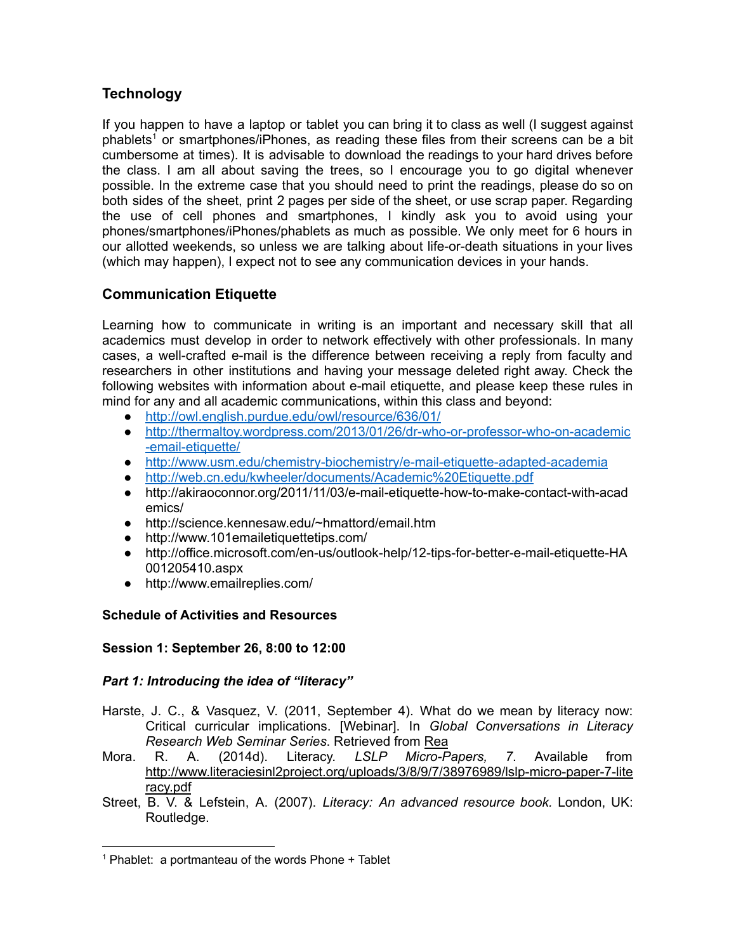# **Technology**

If you happen to have a laptop or tablet you can bring it to class as well (I suggest against phablets <sup>1</sup> or smartphones/iPhones, as reading these files from their screens can be a bit cumbersome at times). It is advisable to download the readings to your hard drives before the class. I am all about saving the trees, so I encourage you to go digital whenever possible. In the extreme case that you should need to print the readings, please do so on both sides of the sheet, print 2 pages per side of the sheet, or use scrap paper. Regarding the use of cell phones and smartphones, I kindly ask you to avoid using your phones/smartphones/iPhones/phablets as much as possible. We only meet for 6 hours in our allotted weekends, so unless we are talking about life-or-death situations in your lives (which may happen), I expect not to see any communication devices in your hands.

# **Communication Etiquette**

Learning how to communicate in writing is an important and necessary skill that all academics must develop in order to network effectively with other professionals. In many cases, a well-crafted e-mail is the difference between receiving a reply from faculty and researchers in other institutions and having your message deleted right away. Check the following websites with information about e-mail etiquette, and please keep these rules in mind for any and all academic communications, within this class and beyond:

- <http://owl.english.purdue.edu/owl/resource/636/01/>
- [http://thermaltoy.wordpress.com/2013/01/26/dr-who-or-professor-who-on-academic](http://thermaltoy.wordpress.com/2013/01/26/dr-who-or-professor-who-on-academic-email-etiquette/) [-email-etiquette/](http://thermaltoy.wordpress.com/2013/01/26/dr-who-or-professor-who-on-academic-email-etiquette/)
- <http://www.usm.edu/chemistry-biochemistry/e-mail-etiquette-adapted-academia>
- <http://web.cn.edu/kwheeler/documents/Academic%20Etiquette.pdf>
- http://akiraoconnor.org/2011/11/03/e-mail-etiquette-how-to-make-contact-with-acad emics/
- http://science.kennesaw.edu/~hmattord/email.htm
- http://www.101emailetiquettetips.com/
- http://office.microsoft.com/en-us/outlook-help/12-tips-for-better-e-mail-etiquette-HA 001205410.aspx
- http://www.emailreplies.com/

## **Schedule of Activities and Resources**

## **Session 1: September 26, 8:00 to 12:00**

## *Part 1: Introducing the idea of "literacy"*

- Harste, J. C., & Vasquez, V. (2011, September 4). What do we mean by literacy now: Critical curricular implications. [Webinar]. In *Global Conversations in Literacy Research Web Seminar Series*. Retrieved from [Rea](https://www.youtube.com/watch?v=mbNNivcHGFY)
- Mora. R. A. (2014d). Literacy. *LSLP Micro-Papers, 7*. Available from [http://www.literaciesinl2project.org/uploads/3/8/9/7/38976989/lslp-micro-paper-7-lite](http://www.literaciesinl2project.org/uploads/3/8/9/7/38976989/lslp-micro-paper-7-literacy.pdf) [racy.pdf](http://www.literaciesinl2project.org/uploads/3/8/9/7/38976989/lslp-micro-paper-7-literacy.pdf)
- Street, B. V. & Lefstein, A. (2007). *Literacy: An advanced resource book.* London, UK: Routledge.

 $1$  Phablet: a portmanteau of the words Phone  $+$  Tablet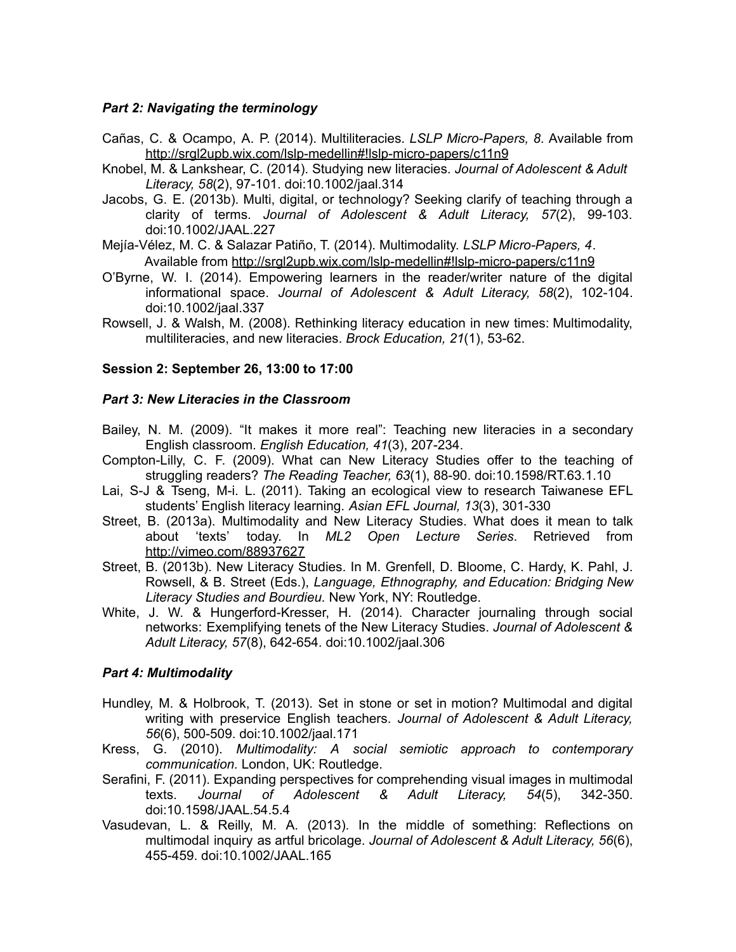### *Part 2: Navigating the terminology*

- Cañas, C. & Ocampo, A. P. (2014). Multiliteracies. *LSLP Micro-Papers, 8*. Available from <http://srgl2upb.wix.com/lslp-medellin#!lslp-micro-papers/c11n9>
- Knobel, M. & Lankshear, C. (2014). Studying new literacies. *Journal of Adolescent & Adult Literacy, 58*(2), 97-101. doi:10.1002/jaal.314
- Jacobs, G. E. (2013b). Multi, digital, or technology? Seeking clarify of teaching through a clarity of terms. *Journal of Adolescent & Adult Literacy, 57*(2), 99-103. doi:10.1002/JAAL.227
- Mejía-Vélez, M. C. & Salazar Patiño, T. (2014). Multimodality. *LSLP Micro-Papers, 4*. Available from <http://srgl2upb.wix.com/lslp-medellin#!lslp-micro-papers/c11n9>
- O'Byrne, W. I. (2014). Empowering learners in the reader/writer nature of the digital informational space. *Journal of Adolescent & Adult Literacy, 58*(2), 102-104. doi:10.1002/jaal.337
- Rowsell, J. & Walsh, M. (2008). Rethinking literacy education in new times: Multimodality, multiliteracies, and new literacies. *Brock Education, 21*(1), 53-62.

#### **Session 2: September 26, 13:00 to 17:00**

#### *Part 3: New Literacies in the Classroom*

- Bailey, N. M. (2009). "It makes it more real": Teaching new literacies in a secondary English classroom. *English Education, 41*(3), 207-234.
- Compton-Lilly, C. F. (2009). What can New Literacy Studies offer to the teaching of struggling readers? *The Reading Teacher, 63*(1), 88-90. doi:10.1598/RT.63.1.10
- Lai, S-J & Tseng, M-i. L. (2011). Taking an ecological view to research Taiwanese EFL students' English literacy learning. *Asian EFL Journal, 13*(3), 301-330
- Street, B. (2013a). Multimodality and New Literacy Studies. What does it mean to talk about 'texts' today. In *ML2 Open Lecture Series*. Retrieved from <http://vimeo.com/88937627>
- Street, B. (2013b). New Literacy Studies. In M. Grenfell, D. Bloome, C. Hardy, K. Pahl, J. Rowsell, & B. Street (Eds.), *Language, Ethnography, and Education: Bridging New Literacy Studies and Bourdieu.* New York, NY: Routledge.
- White, J. W. & Hungerford-Kresser, H. (2014). Character journaling through social networks: Exemplifying tenets of the New Literacy Studies. *Journal of Adolescent & Adult Literacy, 57*(8), 642-654. doi:10.1002/jaal.306

### *Part 4: Multimodality*

- Hundley, M. & Holbrook, T. (2013). Set in stone or set in motion? Multimodal and digital writing with preservice English teachers. *Journal of Adolescent & Adult Literacy, 56*(6), 500-509. doi:10.1002/jaal.171
- Kress, G. (2010). *Multimodality: A social semiotic approach to contemporary communication.* London, UK: Routledge.
- Serafini, F. (2011). Expanding perspectives for comprehending visual images in multimodal texts. *Journal of Adolescent & Adult Literacy, 54*(5), 342-350. doi:10.1598/JAAL.54.5.4
- Vasudevan, L. & Reilly, M. A. (2013). In the middle of something: Reflections on multimodal inquiry as artful bricolage. *Journal of Adolescent & Adult Literacy, 56*(6), 455-459. doi:10.1002/JAAL.165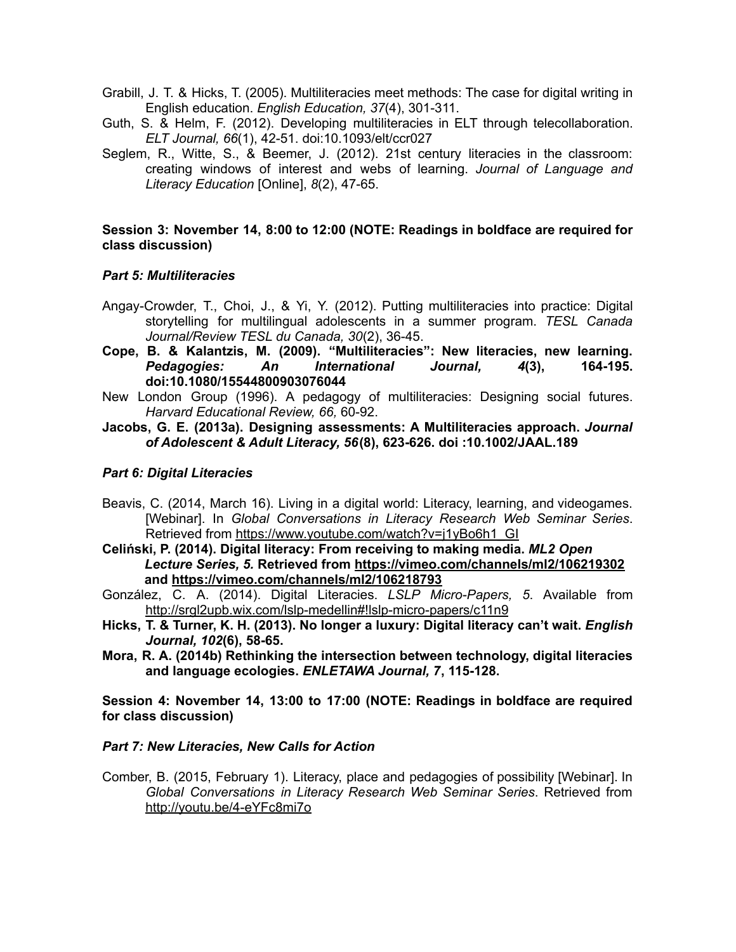- Grabill, J. T. & Hicks, T. (2005). Multiliteracies meet methods: The case for digital writing in English education. *English Education, 37*(4), 301-311.
- Guth, S. & Helm, F. (2012). Developing multiliteracies in ELT through telecollaboration. *ELT Journal, 66*(1), 42-51. doi:10.1093/elt/ccr027
- Seglem, R., Witte, S., & Beemer, J. (2012). 21st century literacies in the classroom: creating windows of interest and webs of learning. *Journal of Language and Literacy Education* [Online], *8*(2), 47-65.

#### **Session 3: November 14, 8:00 to 12:00 (NOTE: Readings in boldface are required for class discussion)**

### *Part 5: Multiliteracies*

- Angay-Crowder, T., Choi, J., & Yi, Y. (2012). Putting multiliteracies into practice: Digital storytelling for multilingual adolescents in a summer program. *TESL Canada Journal/Review TESL du Canada, 30*(2), 36-45.
- **Cope, B. & Kalantzis, M. (2009). "Multiliteracies": New literacies, new learning.** *Pedagogies: An International Journal, 4***(3), 164-195. doi:10.1080/15544800903076044**
- New London Group (1996). A pedagogy of multiliteracies: Designing social futures. *Harvard Educational Review, 66,* 60-92.

#### **Jacobs, G. E. (2013a). Designing assessments: A Multiliteracies approach.** *Journal of Adolescent & Adult Literacy, 56***(8), 623-626. doi :10.1002/JAAL.189**

### *Part 6: Digital Literacies*

Beavis, C. (2014, March 16). Living in a digital world: Literacy, learning, and videogames. [Webinar]. In *Global Conversations in Literacy Research Web Seminar Series*. Retrieved from [https://www.youtube.com/watch?v=j1yBo6h1\\_GI](https://www.youtube.com/watch?v=j1yBo6h1_GI)

**Celiński, P. (2014). Digital literacy: From receiving to making media.** *ML2 Open Lecture Series, 5.* **Retrieved from <https://vimeo.com/channels/ml2/106219302> and <https://vimeo.com/channels/ml2/106218793>**

- González, C. A. (2014). Digital Literacies. *LSLP Micro-Papers, 5*. Available from <http://srgl2upb.wix.com/lslp-medellin#!lslp-micro-papers/c11n9>
- **Hicks, T. & Turner, K. H. (2013). No longer a luxury: Digital literacy can't wait.** *English Journal, 102***(6), 58-65.**
- **Mora, R. A. (2014b) Rethinking the intersection between technology, digital literacies and language ecologies.** *ENLETAWA Journal, 7***, 115-128.**

**Session 4: November 14, 13:00 to 17:00 (NOTE: Readings in boldface are required for class discussion)**

#### *Part 7: New Literacies, New Calls for Action*

Comber, B. (2015, February 1). Literacy, place and pedagogies of possibility [Webinar]. In *Global Conversations in Literacy Research Web Seminar Series*. Retrieved from <http://youtu.be/4-eYFc8mi7o>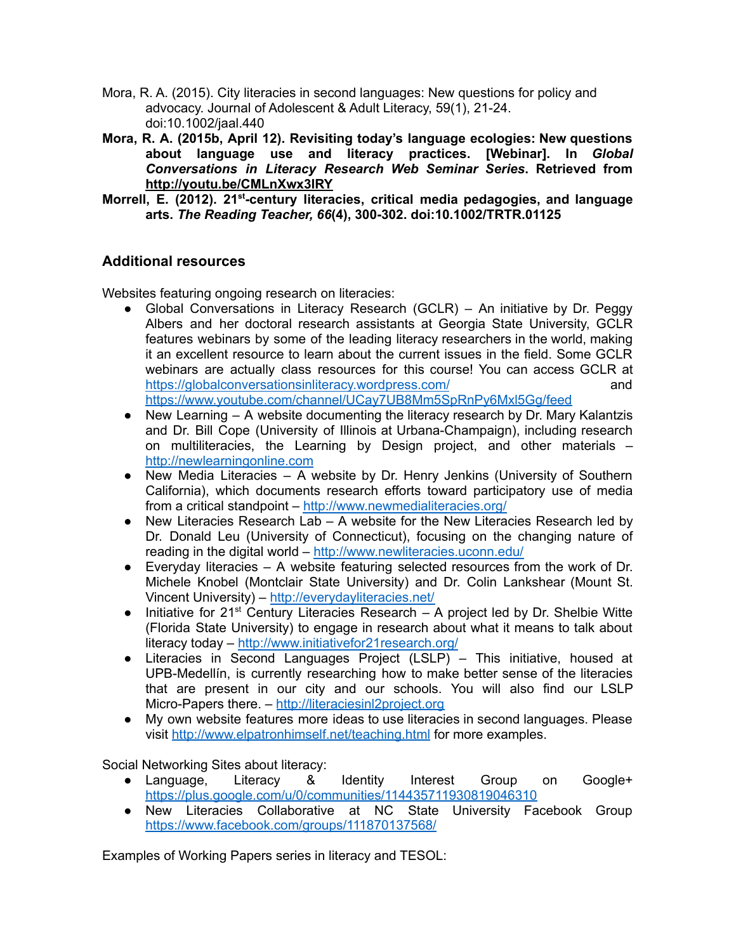- Mora, R. A. (2015). City literacies in second languages: New questions for policy and advocacy. Journal of Adolescent & Adult Literacy, 59(1), 21-24. doi:10.1002/jaal.440
- **Mora, R. A. (2015b, April 12). Revisiting today's language ecologies: New questions about language use and literacy practices. [Webinar]. In** *Global Conversations in Literacy Research Web Seminar Series***. Retrieved from <http://youtu.be/CMLnXwx3lRY>**
- **Morrell, E. (2012). 21 st -century literacies, critical media pedagogies, and language arts.** *The Reading Teacher, 66***(4), 300-302. doi:10.1002/TRTR.01125**

## **Additional resources**

Websites featuring ongoing research on literacies:

- Global Conversations in Literacy Research (GCLR) An initiative by Dr. Peggy Albers and her doctoral research assistants at Georgia State University, GCLR features webinars by some of the leading literacy researchers in the world, making it an excellent resource to learn about the current issues in the field. Some GCLR webinars are actually class resources for this course! You can access GCLR at <https://globalconversationsinliteracy.wordpress.com/> and and <https://www.youtube.com/channel/UCay7UB8Mm5SpRnPy6Mxl5Gg/feed>
- $\bullet$  New Learning  $-$  A website documenting the literacy research by Dr. Mary Kalantzis and Dr. Bill Cope (University of Illinois at Urbana-Champaign), including research on multiliteracies, the Learning by Design project, and other materials – <http://newlearningonline.com>
- New Media Literacies A website by Dr. Henry Jenkins (University of Southern California), which documents research efforts toward participatory use of media from a critical standpoint – <http://www.newmedialiteracies.org/>
- New Literacies Research Lab A website for the New Literacies Research led by Dr. Donald Leu (University of Connecticut), focusing on the changing nature of reading in the digital world – <http://www.newliteracies.uconn.edu/>
- $\bullet$  Everyday literacies  $-$  A website featuring selected resources from the work of Dr. Michele Knobel (Montclair State University) and Dr. Colin Lankshear (Mount St. Vincent University) – <http://everydayliteracies.net/>
- $\bullet$  Initiative for 21<sup>st</sup> Century Literacies Research A project led by Dr. Shelbie Witte (Florida State University) to engage in research about what it means to talk about literacy today – <http://www.initiativefor21research.org/>
- Literacies in Second Languages Project (LSLP) This initiative, housed at UPB-Medellín, is currently researching how to make better sense of the literacies that are present in our city and our schools. You will also find our LSLP Micro-Papers there. – <http://literaciesinl2project.org>
- My own website features more ideas to use literacies in second languages. Please visit <http://www.elpatronhimself.net/teaching.html> for more examples.

Social Networking Sites about literacy:

- Language, Literacy & Identity Interest Group on Google+ <https://plus.google.com/u/0/communities/114435711930819046310>
- New Literacies Collaborative at NC State University Facebook Group <https://www.facebook.com/groups/111870137568/>

Examples of Working Papers series in literacy and TESOL: